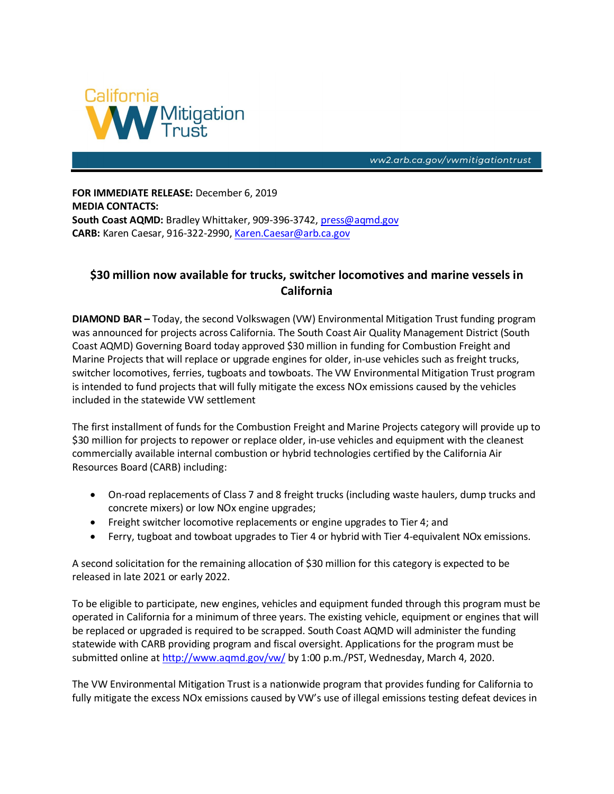

ww2.arb.ca.gov/vwmitigationtrust

**FOR IMMEDIATE RELEASE:** December 6, 2019 **MEDIA CONTACTS: South Coast AQMD:** Bradley Whittaker, 909-396-3742[, press@aqmd.gov](mailto:press@aqmd.gov) **CARB:** Karen Caesar, 916-322-2990, [Karen.Caesar@arb.ca.gov](mailto:Karen.Caesar@arb.ca.gov)

## **\$30 million now available for trucks, switcher locomotives and marine vessels in California**

**DIAMOND BAR –** Today, the second Volkswagen (VW) Environmental Mitigation Trust funding program was announced for projects across California. The South Coast Air Quality Management District (South Coast AQMD) Governing Board today approved \$30 million in funding for Combustion Freight and Marine Projects that will replace or upgrade engines for older, in-use vehicles such as freight trucks, switcher locomotives, ferries, tugboats and towboats. The VW Environmental Mitigation Trust program is intended to fund projects that will fully mitigate the excess NOx emissions caused by the vehicles included in the statewide VW settlement

The first installment of funds for the Combustion Freight and Marine Projects category will provide up to \$30 million for projects to repower or replace older, in-use vehicles and equipment with the cleanest commercially available internal combustion or hybrid technologies certified by the California Air Resources Board (CARB) including:

- On-road replacements of Class 7 and 8 freight trucks (including waste haulers, dump trucks and concrete mixers) or low NOx engine upgrades;
- Freight switcher locomotive replacements or engine upgrades to Tier 4; and
- Ferry, tugboat and towboat upgrades to Tier 4 or hybrid with Tier 4-equivalent NOx emissions.

A second solicitation for the remaining allocation of \$30 million for this category is expected to be released in late 2021 or early 2022.

To be eligible to participate, new engines, vehicles and equipment funded through this program must be operated in California for a minimum of three years. The existing vehicle, equipment or engines that will be replaced or upgraded is required to be scrapped. South Coast AQMD will administer the funding statewide with CARB providing program and fiscal oversight. Applications for the program must be submitted online at <http://www.aqmd.gov/vw/> by 1:00 p.m./PST, Wednesday, March 4, 2020.

The VW Environmental Mitigation Trust is a nationwide program that provides funding for California to fully mitigate the excess NOx emissions caused by VW's use of illegal emissions testing defeat devices in